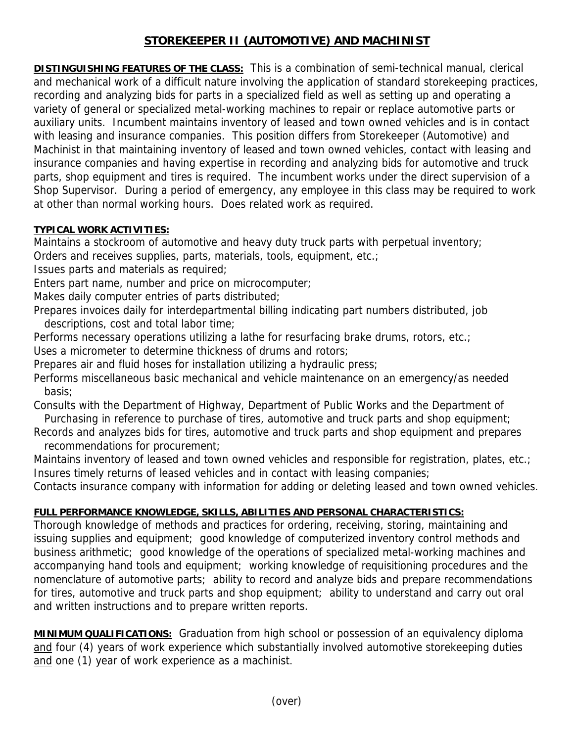## **STOREKEEPER II (AUTOMOTIVE) AND MACHINIST**

**DISTINGUISHING FEATURES OF THE CLASS:** This is a combination of semi-technical manual, clerical and mechanical work of a difficult nature involving the application of standard storekeeping practices, recording and analyzing bids for parts in a specialized field as well as setting up and operating a variety of general or specialized metal-working machines to repair or replace automotive parts or auxiliary units. Incumbent maintains inventory of leased and town owned vehicles and is in contact with leasing and insurance companies. This position differs from Storekeeper (Automotive) and Machinist in that maintaining inventory of leased and town owned vehicles, contact with leasing and insurance companies and having expertise in recording and analyzing bids for automotive and truck parts, shop equipment and tires is required. The incumbent works under the direct supervision of a Shop Supervisor. During a period of emergency, any employee in this class may be required to work at other than normal working hours. Does related work as required.

## **TYPICAL WORK ACTIVITIES:**

Maintains a stockroom of automotive and heavy duty truck parts with perpetual inventory;

Orders and receives supplies, parts, materials, tools, equipment, etc.;

Issues parts and materials as required;

Enters part name, number and price on microcomputer;

Makes daily computer entries of parts distributed;

Prepares invoices daily for interdepartmental billing indicating part numbers distributed, job descriptions, cost and total labor time;

Performs necessary operations utilizing a lathe for resurfacing brake drums, rotors, etc.; Uses a micrometer to determine thickness of drums and rotors;

Prepares air and fluid hoses for installation utilizing a hydraulic press;

Performs miscellaneous basic mechanical and vehicle maintenance on an emergency/as needed basis;

Consults with the Department of Highway, Department of Public Works and the Department of Purchasing in reference to purchase of tires, automotive and truck parts and shop equipment;

Records and analyzes bids for tires, automotive and truck parts and shop equipment and prepares recommendations for procurement;

Maintains inventory of leased and town owned vehicles and responsible for registration, plates, etc.; Insures timely returns of leased vehicles and in contact with leasing companies;

Contacts insurance company with information for adding or deleting leased and town owned vehicles.

## **FULL PERFORMANCE KNOWLEDGE, SKILLS, ABILITIES AND PERSONAL CHARACTERISTICS:**

Thorough knowledge of methods and practices for ordering, receiving, storing, maintaining and issuing supplies and equipment; good knowledge of computerized inventory control methods and business arithmetic; good knowledge of the operations of specialized metal-working machines and accompanying hand tools and equipment; working knowledge of requisitioning procedures and the nomenclature of automotive parts; ability to record and analyze bids and prepare recommendations for tires, automotive and truck parts and shop equipment; ability to understand and carry out oral and written instructions and to prepare written reports.

**MINIMUM QUALIFICATIONS:** Graduation from high school or possession of an equivalency diploma and four (4) years of work experience which substantially involved automotive storekeeping duties and one (1) year of work experience as a machinist.